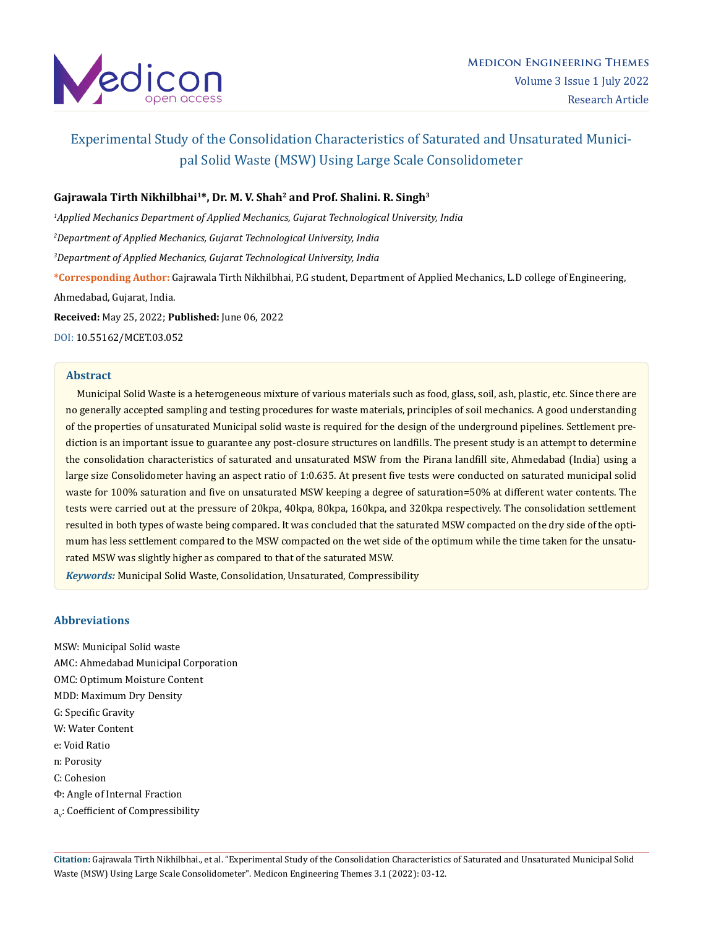

# Experimental Study of the Consolidation Characteristics of Saturated and Unsaturated Municipal Solid Waste (MSW) Using Large Scale Consolidometer

## **Gajrawala Tirth Nikhilbhai1\*, Dr. M. V. Shah2 and Prof. Shalini. R. Singh3**

*1 Applied Mechanics Department of Applied Mechanics, Gujarat Technological University, India*

*2 Department of Applied Mechanics, Gujarat Technological University, India*

*3 Department of Applied Mechanics, Gujarat Technological University, India*

**\*Corresponding Author:** Gajrawala Tirth Nikhilbhai, P.G student, Department of Applied Mechanics, L.D college of Engineering, Ahmedabad, Gujarat, India.

**Received:** May 25, 2022; **Published:** June 06, 2022

[DOI: 10.55162/MCET.03.052](https://doi.org/10.55162/MCET.03.052)

## **Abstract**

 Municipal Solid Waste is a heterogeneous mixture of various materials such as food, glass, soil, ash, plastic, etc. Since there are no generally accepted sampling and testing procedures for waste materials, principles of soil mechanics. A good understanding of the properties of unsaturated Municipal solid waste is required for the design of the underground pipelines. Settlement prediction is an important issue to guarantee any post-closure structures on landfills. The present study is an attempt to determine the consolidation characteristics of saturated and unsaturated MSW from the Pirana landfill site, Ahmedabad (India) using a large size Consolidometer having an aspect ratio of 1:0.635. At present five tests were conducted on saturated municipal solid waste for 100% saturation and five on unsaturated MSW keeping a degree of saturation=50% at different water contents. The tests were carried out at the pressure of 20kpa, 40kpa, 80kpa, 160kpa, and 320kpa respectively. The consolidation settlement resulted in both types of waste being compared. It was concluded that the saturated MSW compacted on the dry side of the optimum has less settlement compared to the MSW compacted on the wet side of the optimum while the time taken for the unsaturated MSW was slightly higher as compared to that of the saturated MSW.

*Keywords:* Municipal Solid Waste, Consolidation, Unsaturated, Compressibility

## **Abbreviations**

MSW: Municipal Solid waste AMC: Ahmedabad Municipal Corporation OMC: Optimum Moisture Content MDD: Maximum Dry Density G: Specific Gravity W: Water Content e: Void Ratio n: Porosity C: Cohesion Φ: Angle of Internal Fraction a<sub>v</sub>: Coefficient of Compressibility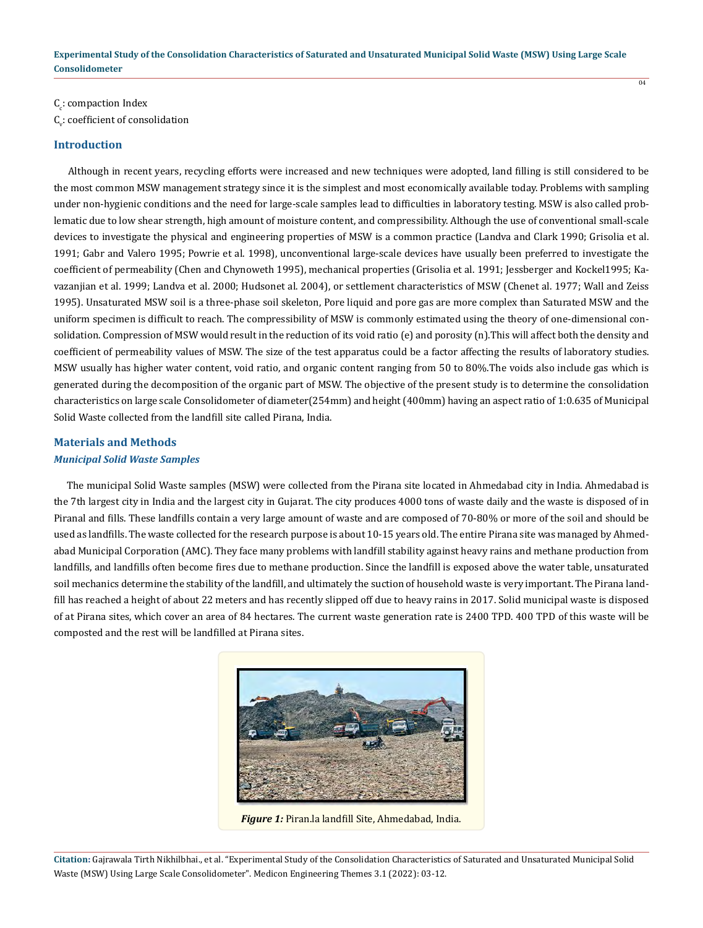$\overline{04}$ 

 $\mathsf{C}_\mathrm{c}$ : compaction Index  $\mathsf{C}_\mathsf{v}$ : coefficient of consolidation

#### **Introduction**

 Although in recent years, recycling efforts were increased and new techniques were adopted, land filling is still considered to be the most common MSW management strategy since it is the simplest and most economically available today. Problems with sampling under non-hygienic conditions and the need for large-scale samples lead to difficulties in laboratory testing. MSW is also called problematic due to low shear strength, high amount of moisture content, and compressibility. Although the use of conventional small-scale devices to investigate the physical and engineering properties of MSW is a common practice (Landva and Clark 1990; Grisolia et al. 1991; Gabr and Valero 1995; Powrie et al. 1998), unconventional large-scale devices have usually been preferred to investigate the coefficient of permeability (Chen and Chynoweth 1995), mechanical properties (Grisolia et al. 1991; Jessberger and Kockel1995; Kavazanjian et al. 1999; Landva et al. 2000; Hudsonet al. 2004), or settlement characteristics of MSW (Chenet al. 1977; Wall and Zeiss 1995). Unsaturated MSW soil is a three-phase soil skeleton, Pore liquid and pore gas are more complex than Saturated MSW and the uniform specimen is difficult to reach. The compressibility of MSW is commonly estimated using the theory of one-dimensional consolidation. Compression of MSW would result in the reduction of its void ratio (e) and porosity (n).This will affect both the density and coefficient of permeability values of MSW. The size of the test apparatus could be a factor affecting the results of laboratory studies. MSW usually has higher water content, void ratio, and organic content ranging from 50 to 80%.The voids also include gas which is generated during the decomposition of the organic part of MSW. The objective of the present study is to determine the consolidation characteristics on large scale Consolidometer of diameter(254mm) and height (400mm) having an aspect ratio of 1:0.635 of Municipal Solid Waste collected from the landfill site called Pirana, India.

# **Materials and Methods** *Municipal Solid Waste Samples*

 The municipal Solid Waste samples (MSW) were collected from the Pirana site located in Ahmedabad city in India. Ahmedabad is the 7th largest city in India and the largest city in Gujarat. The city produces 4000 tons of waste daily and the waste is disposed of in Piranal and fills. These landfills contain a very large amount of waste and are composed of 70-80% or more of the soil and should be used as landfills. The waste collected for the research purpose is about 10-15 years old. The entire Pirana site was managed by Ahmedabad Municipal Corporation (AMC). They face many problems with landfill stability against heavy rains and methane production from landfills, and landfills often become fires due to methane production. Since the landfill is exposed above the water table, unsaturated soil mechanics determine the stability of the landfill, and ultimately the suction of household waste is very important. The Pirana landfill has reached a height of about 22 meters and has recently slipped off due to heavy rains in 2017. Solid municipal waste is disposed of at Pirana sites, which cover an area of 84 hectares. The current waste generation rate is 2400 TPD. 400 TPD of this waste will be composted and the rest will be landfilled at Pirana sites.



*Figure 1:* Piran.la landfill Site, Ahmedabad, India.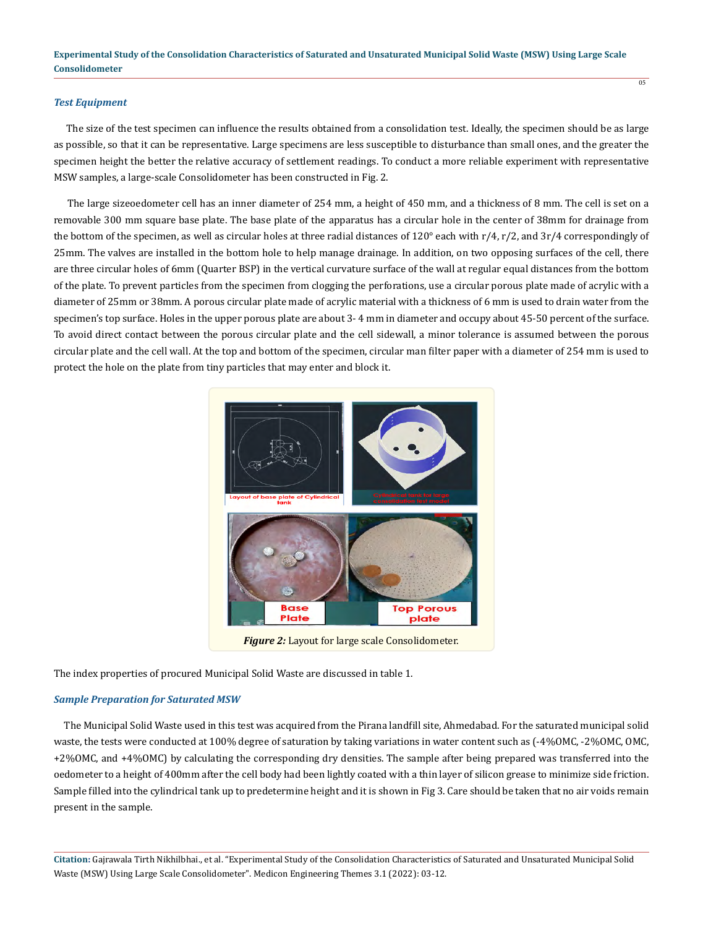#### *Test Equipment*

 The size of the test specimen can influence the results obtained from a consolidation test. Ideally, the specimen should be as large as possible, so that it can be representative. Large specimens are less susceptible to disturbance than small ones, and the greater the specimen height the better the relative accuracy of settlement readings. To conduct a more reliable experiment with representative MSW samples, a large-scale Consolidometer has been constructed in Fig. 2.

 $\overline{05}$ 

 The large sizeoedometer cell has an inner diameter of 254 mm, a height of 450 mm, and a thickness of 8 mm. The cell is set on a removable 300 mm square base plate. The base plate of the apparatus has a circular hole in the center of 38mm for drainage from the bottom of the specimen, as well as circular holes at three radial distances of 120° each with r/4, r/2, and 3r/4 correspondingly of 25mm. The valves are installed in the bottom hole to help manage drainage. In addition, on two opposing surfaces of the cell, there are three circular holes of 6mm (Quarter BSP) in the vertical curvature surface of the wall at regular equal distances from the bottom of the plate. To prevent particles from the specimen from clogging the perforations, use a circular porous plate made of acrylic with a diameter of 25mm or 38mm. A porous circular plate made of acrylic material with a thickness of 6 mm is used to drain water from the specimen's top surface. Holes in the upper porous plate are about 3- 4 mm in diameter and occupy about 45-50 percent of the surface. To avoid direct contact between the porous circular plate and the cell sidewall, a minor tolerance is assumed between the porous circular plate and the cell wall. At the top and bottom of the specimen, circular man filter paper with a diameter of 254 mm is used to protect the hole on the plate from tiny particles that may enter and block it.



*Figure 2:* Layout for large scale Consolidometer.

The index properties of procured Municipal Solid Waste are discussed in table 1.

## *Sample Preparation for Saturated MSW*

 The Municipal Solid Waste used in this test was acquired from the Pirana landfill site, Ahmedabad. For the saturated municipal solid waste, the tests were conducted at 100% degree of saturation by taking variations in water content such as (-4%OMC, -2%OMC, OMC, +2%OMC, and +4%OMC) by calculating the corresponding dry densities. The sample after being prepared was transferred into the oedometer to a height of 400mm after the cell body had been lightly coated with a thin layer of silicon grease to minimize side friction. Sample filled into the cylindrical tank up to predetermine height and it is shown in Fig 3. Care should be taken that no air voids remain present in the sample.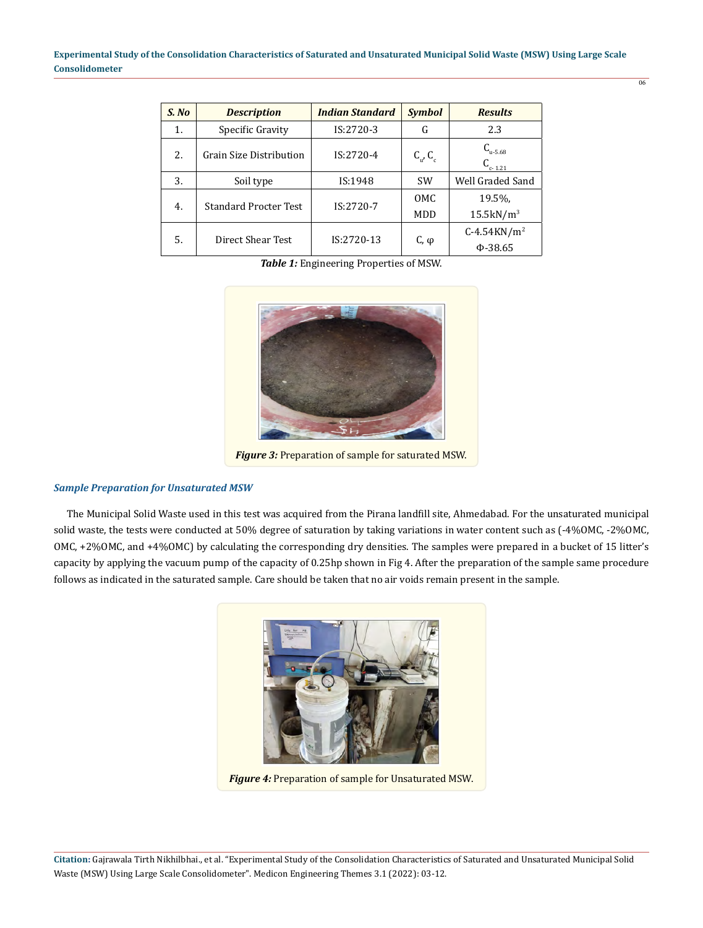$\overline{06}$ 

| S. No | <b>Description</b>           | <b>Indian Standard</b> | <b>Symbol</b>           | <b>Results</b>                     |
|-------|------------------------------|------------------------|-------------------------|------------------------------------|
| 1.    | Specific Gravity             | IS:2720-3              | G                       | 2.3                                |
| 2.    | Grain Size Distribution      | $IS:2720-4$            | $C_{\alpha}$ , $C_{c}$  | $C_{u-5.68}$<br>$C_{c-1.21}$       |
| 3.    | Soil type                    | IS:1948                | <b>SW</b>               | Well Graded Sand                   |
| 4.    | <b>Standard Procter Test</b> | IS:2720-7              | 0 <sub>M</sub> C<br>MDD | 19.5%,<br>$15.5$ kN/m <sup>3</sup> |
| 5.    | Direct Shear Test            | IS:2720-13             | C, φ                    | $C-4.54KN/m^2$<br>$\Phi$ -38.65    |

*Table 1:* Engineering Properties of MSW.



*Figure 3:* Preparation of sample for saturated MSW.

## *Sample Preparation for Unsaturated MSW*

 The Municipal Solid Waste used in this test was acquired from the Pirana landfill site, Ahmedabad. For the unsaturated municipal solid waste, the tests were conducted at 50% degree of saturation by taking variations in water content such as (-4%OMC, -2%OMC, OMC, +2%OMC, and +4%OMC) by calculating the corresponding dry densities. The samples were prepared in a bucket of 15 litter's capacity by applying the vacuum pump of the capacity of 0.25hp shown in Fig 4. After the preparation of the sample same procedure follows as indicated in the saturated sample. Care should be taken that no air voids remain present in the sample.



*Figure 4:* Preparation of sample for Unsaturated MSW.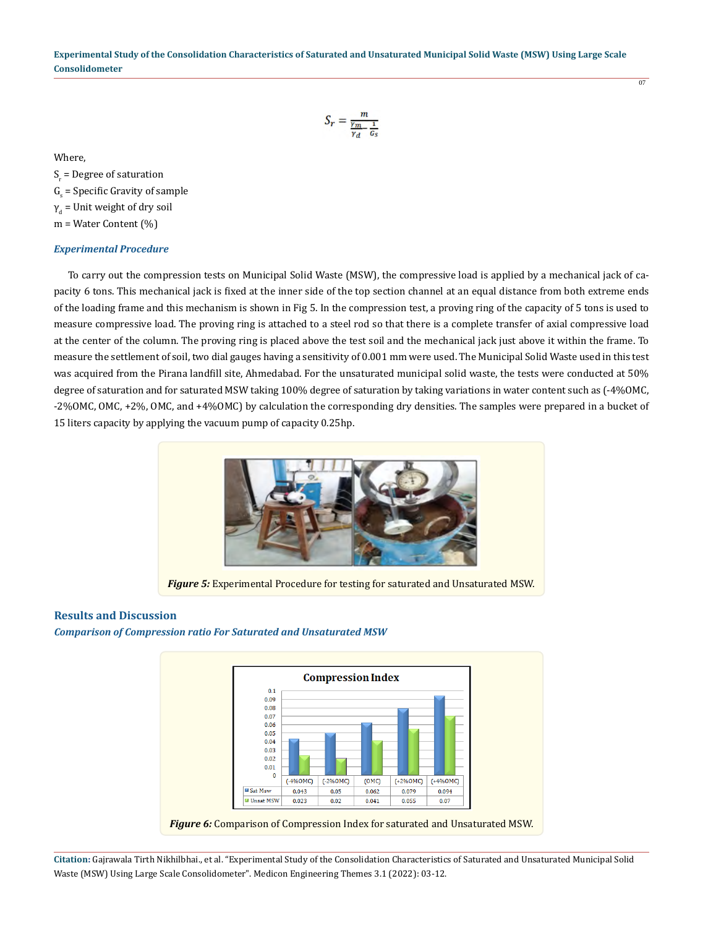$$
S_r = \frac{m}{\frac{\gamma_m}{\gamma_d} - \frac{1}{G_s}}
$$

 $\overline{07}$ 

Where,

 $S_r$  = Degree of saturation

 $G<sub>s</sub>$  = Specific Gravity of sample

 $\gamma_{\textrm{\tiny{d}}}$  = Unit weight of dry soil

m = Water Content (%)

## *Experimental Procedure*

 To carry out the compression tests on Municipal Solid Waste (MSW), the compressive load is applied by a mechanical jack of capacity 6 tons. This mechanical jack is fixed at the inner side of the top section channel at an equal distance from both extreme ends of the loading frame and this mechanism is shown in Fig 5. In the compression test, a proving ring of the capacity of 5 tons is used to measure compressive load. The proving ring is attached to a steel rod so that there is a complete transfer of axial compressive load at the center of the column. The proving ring is placed above the test soil and the mechanical jack just above it within the frame. To measure the settlement of soil, two dial gauges having a sensitivity of 0.001 mm were used. The Municipal Solid Waste used in this test was acquired from the Pirana landfill site, Ahmedabad. For the unsaturated municipal solid waste, the tests were conducted at 50% degree of saturation and for saturated MSW taking 100% degree of saturation by taking variations in water content such as (-4%OMC, -2%OMC, OMC, +2%, OMC, and +4%OMC) by calculation the corresponding dry densities. The samples were prepared in a bucket of 15 liters capacity by applying the vacuum pump of capacity 0.25hp.



*Figure 5:* Experimental Procedure for testing for saturated and Unsaturated MSW.

## **Results and Discussion**

*Comparison of Compression ratio For Saturated and Unsaturated MSW*

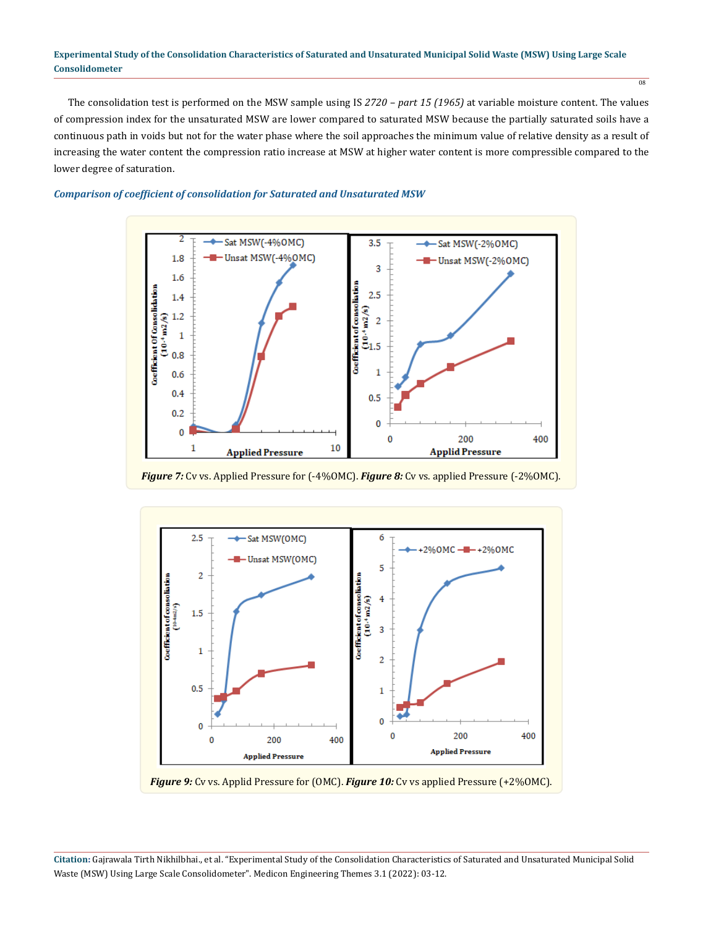#### **Experimental Study of the Consolidation Characteristics of Saturated and Unsaturated Municipal Solid Waste (MSW) Using Large Scale Consolidometer**

 The consolidation test is performed on the MSW sample using IS *2720 – part 15 (1965)* at variable moisture content. The values of compression index for the unsaturated MSW are lower compared to saturated MSW because the partially saturated soils have a continuous path in voids but not for the water phase where the soil approaches the minimum value of relative density as a result of increasing the water content the compression ratio increase at MSW at higher water content is more compressible compared to the lower degree of saturation.

#### *Comparison of coefficient of consolidation for Saturated and Unsaturated MSW*



*Figure 7:* Cv vs. Applied Pressure for (-4%OMC). *Figure 8:* Cv vs. applied Pressure (-2%OMC).



*Figure 9:* Cv vs. Applid Pressure for (OMC). *Figure 10:* Cv vs applied Pressure (+2%OMC).

**Citation:** Gajrawala Tirth Nikhilbhai., et al. "Experimental Study of the Consolidation Characteristics of Saturated and Unsaturated Municipal Solid Waste (MSW) Using Large Scale Consolidometer". Medicon Engineering Themes 3.1 (2022): 03-12.

 $\overline{08}$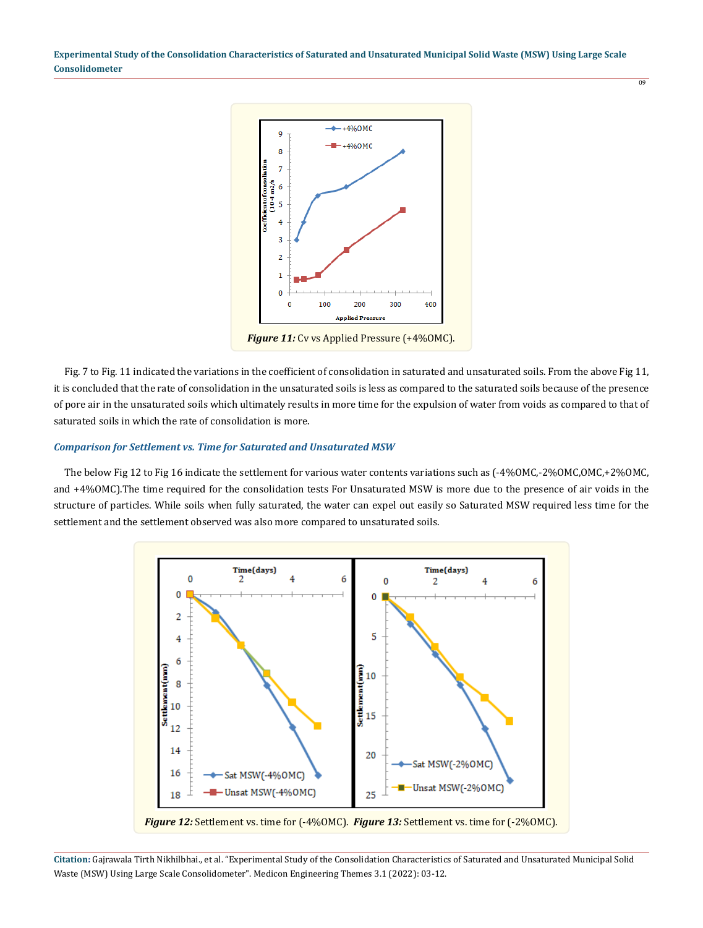**Experimental Study of the Consolidation Characteristics of Saturated and Unsaturated Municipal Solid Waste (MSW) Using Large Scale Consolidometer**



 Fig. 7 to Fig. 11 indicated the variations in the coefficient of consolidation in saturated and unsaturated soils. From the above Fig 11, it is concluded that the rate of consolidation in the unsaturated soils is less as compared to the saturated soils because of the presence of pore air in the unsaturated soils which ultimately results in more time for the expulsion of water from voids as compared to that of saturated soils in which the rate of consolidation is more.

#### *Comparison for Settlement vs. Time for Saturated and Unsaturated MSW*

The below Fig 12 to Fig 16 indicate the settlement for various water contents variations such as  $(-4\%OMC, -2\%OMC, +2\%OMC,$ and +4%OMC).The time required for the consolidation tests For Unsaturated MSW is more due to the presence of air voids in the structure of particles. While soils when fully saturated, the water can expel out easily so Saturated MSW required less time for the settlement and the settlement observed was also more compared to unsaturated soils.



**Citation:** Gajrawala Tirth Nikhilbhai., et al. "Experimental Study of the Consolidation Characteristics of Saturated and Unsaturated Municipal Solid Waste (MSW) Using Large Scale Consolidometer". Medicon Engineering Themes 3.1 (2022): 03-12.

 $\overline{09}$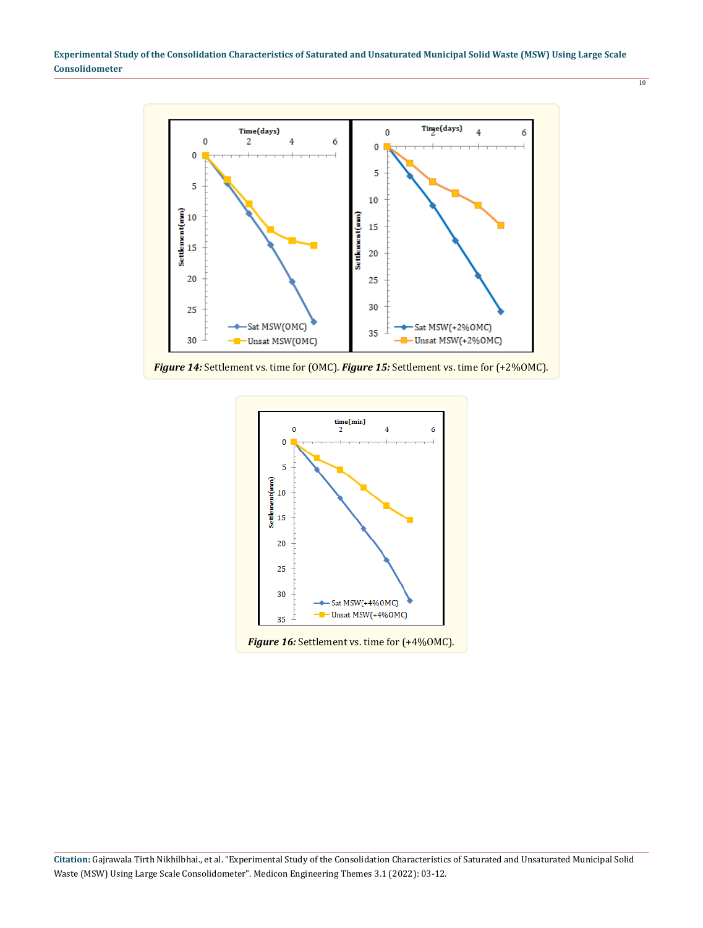**Experimental Study of the Consolidation Characteristics of Saturated and Unsaturated Municipal Solid Waste (MSW) Using Large Scale Consolidometer**

10



*Figure 14:* Settlement vs. time for (OMC). *Figure 15:* Settlement vs. time for (+2%OMC).

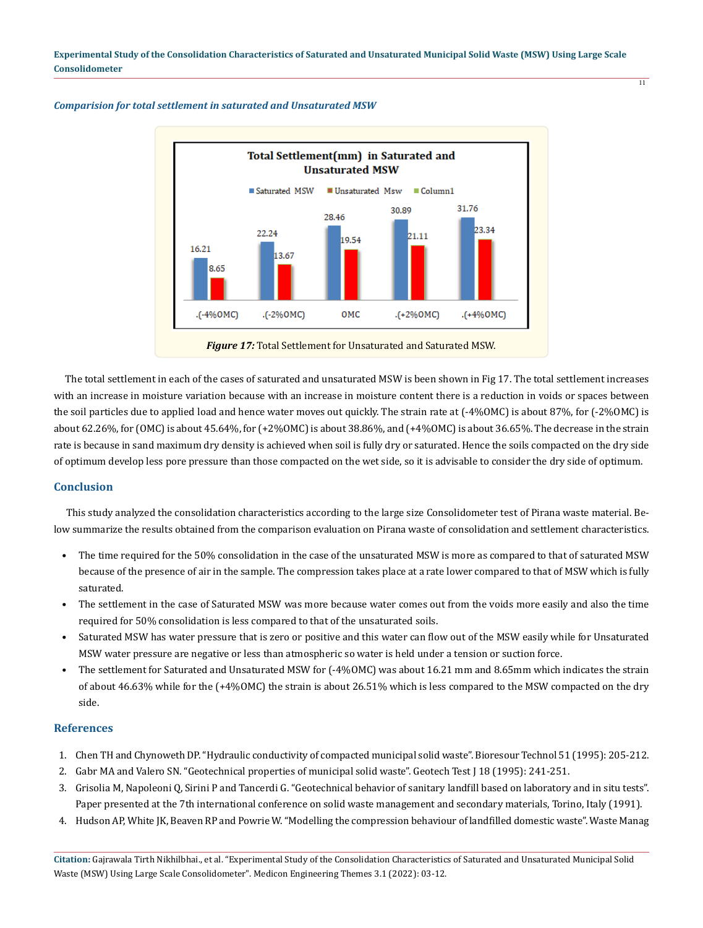Total Settlement(mm) in Saturated and **Unsaturated MSW** Saturated MSW ■ Unsaturated Msw ■ Column1 31.76 30.89 28.46 3.34 22.24 1.11 1954 16.21 3.67 8.65 .(-4%OMC) .(-2%0MC) **OMC**  $-(+2%0MC)$  $+(4%0MC)$ *Figure 17:* Total Settlement for Unsaturated and Saturated MSW.

*Comparision for total settlement in saturated and Unsaturated MSW*

 The total settlement in each of the cases of saturated and unsaturated MSW is been shown in Fig 17. The total settlement increases with an increase in moisture variation because with an increase in moisture content there is a reduction in voids or spaces between the soil particles due to applied load and hence water moves out quickly. The strain rate at (-4%OMC) is about 87%, for (-2%OMC) is about 62.26%, for (OMC) is about 45.64%, for (+2%OMC) is about 38.86%, and (+4%OMC) is about 36.65%. The decrease in the strain rate is because in sand maximum dry density is achieved when soil is fully dry or saturated. Hence the soils compacted on the dry side of optimum develop less pore pressure than those compacted on the wet side, so it is advisable to consider the dry side of optimum.

## **Conclusion**

 This study analyzed the consolidation characteristics according to the large size Consolidometer test of Pirana waste material. Below summarize the results obtained from the comparison evaluation on Pirana waste of consolidation and settlement characteristics.

- The time required for the 50% consolidation in the case of the unsaturated MSW is more as compared to that of saturated MSW because of the presence of air in the sample. The compression takes place at a rate lower compared to that of MSW which is fully saturated.
- The settlement in the case of Saturated MSW was more because water comes out from the voids more easily and also the time required for 50% consolidation is less compared to that of the unsaturated soils.
- Saturated MSW has water pressure that is zero or positive and this water can flow out of the MSW easily while for Unsaturated MSW water pressure are negative or less than atmospheric so water is held under a tension or suction force.
- The settlement for Saturated and Unsaturated MSW for (-4%OMC) was about 16.21 mm and 8.65mm which indicates the strain of about 46.63% while for the (+4%OMC) the strain is about 26.51% which is less compared to the MSW compacted on the dry side.

## **References**

- 1. Chen TH and Chynoweth DP. "Hydraulic conductivity of compacted municipal solid waste". Bioresour Technol 51 (1995): 205-212.
- 2. Gabr MA and Valero SN. "Geotechnical properties of municipal solid waste". Geotech Test J 18 (1995): 241-251.
- 3. Grisolia M, Napoleoni Q, Sirini P and Tancerdi G. "Geotechnical behavior of sanitary landfill based on laboratory and in situ tests". Paper presented at the 7th international conference on solid waste management and secondary materials, Torino, Italy (1991).
- 4. Hudson AP, White JK, Beaven RP and Powrie W. "Modelling the compression behaviour of landfilled domestic waste". Waste Manag

**Citation:** Gajrawala Tirth Nikhilbhai., et al. "Experimental Study of the Consolidation Characteristics of Saturated and Unsaturated Municipal Solid Waste (MSW) Using Large Scale Consolidometer". Medicon Engineering Themes 3.1 (2022): 03-12.

 $\frac{1}{11}$